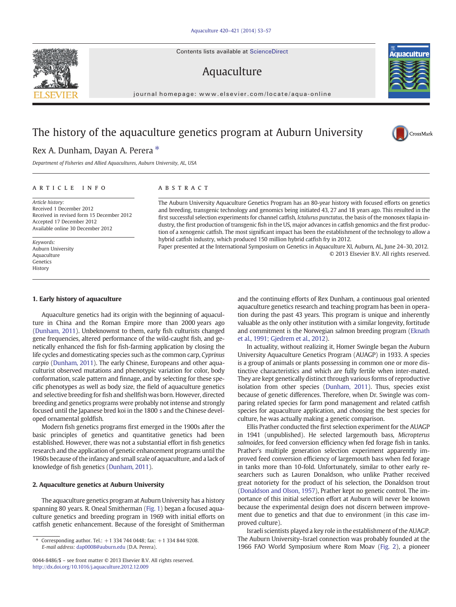Contents lists available at ScienceDirect

# Aquaculture

journal homepage: www.elsevier.com/locate/aqua-online

## The history of the aquaculture genetics program at Auburn University

## Rex A. Dunham, Dayan A. Perera  $*$

Department of Fisheries and Allied Aquacultures, Auburn University, AL, USA

## article info abstract

Article history: Received 1 December 2012 Received in revised form 15 December 2012 Accepted 17 December 2012 Available online 30 December 2012

Keywords: Auburn University Aquaculture Genetics History

The Auburn University Aquaculture Genetics Program has an 80-year history with focused efforts on genetics and breeding, transgenic technology and genomics being initiated 43, 27 and 18 years ago. This resulted in the first successful selection experiments for channel catfish, Ictalurus punctatus, the basis of the monosex tilapia industry, the first production of transgenic fish in the US, major advances in catfish genomics and the first production of a xenogenic catfish. The most significant impact has been the establishment of the technology to allow a hybrid catfish industry, which produced 150 million hybrid catfish fry in 2012.

Paper presented at the International Symposium on Genetics in Aquaculture XI, Auburn, AL, June 24–30, 2012. © 2013 Elsevier B.V. All rights reserved.

### 1. Early history of aquaculture

Aquaculture genetics had its origin with the beginning of aquaculture in China and the Roman Empire more than 2000 years ago [\(Dunham, 2011\)](#page-4-0). Unbeknownst to them, early fish culturists changed gene frequencies, altered performance of the wild-caught fish, and genetically enhanced the fish for fish-farming application by closing the life cycles and domesticating species such as the common carp, Cyprinus carpio ([Dunham, 2011](#page-4-0)). The early Chinese, Europeans and other aquaculturist observed mutations and phenotypic variation for color, body conformation, scale pattern and finnage, and by selecting for these specific phenotypes as well as body size, the field of aquaculture genetics and selective breeding for fish and shellfish was born. However, directed breeding and genetics programs were probably not intense and strongly focused until the Japanese bred koi in the 1800 s and the Chinese developed ornamental goldfish.

Modern fish genetics programs first emerged in the 1900s after the basic principles of genetics and quantitative genetics had been established. However, there was not a substantial effort in fish genetics research and the application of genetic enhancement programs until the 1960s because of the infancy and small scale of aquaculture, and a lack of knowledge of fish genetics [\(Dunham, 2011\)](#page-4-0).

## 2. Aquaculture genetics at Auburn University

The aquaculture genetics program at Auburn University has a history spanning 80 years. R. Oneal Smitherman [\(Fig. 1\)](#page-1-0) began a focused aquaculture genetics and breeding program in 1969 with initial efforts on catfish genetic enhancement. Because of the foresight of Smitherman and the continuing efforts of Rex Dunham, a continuous goal oriented aquaculture genetics research and teaching program has been in operation during the past 43 years. This program is unique and inherently valuable as the only other institution with a similar longevity, fortitude and commitment is the Norwegian salmon breeding program ([Eknath](#page-4-0) [et al., 1991; Gjedrem et al., 2012](#page-4-0)).

In actuality, without realizing it, Homer Swingle began the Auburn University Aquaculture Genetics Program (AUAGP) in 1933. A species is a group of animals or plants possessing in common one or more distinctive characteristics and which are fully fertile when inter-mated. They are kept genetically distinct through various forms of reproductive isolation from other species ([Dunham, 2011\)](#page-4-0). Thus, species exist because of genetic differences. Therefore, when Dr. Swingle was comparing related species for farm pond management and related catfish species for aquaculture application, and choosing the best species for culture, he was actually making a genetic comparison.

Ellis Prather conducted the first selection experiment for the AUAGP in 1941 (unpublished). He selected largemouth bass, Micropterus salmoides, for feed conversion efficiency when fed forage fish in tanks. Prather's multiple generation selection experiment apparently improved feed conversion efficiency of largemouth bass when fed forage in tanks more than 10-fold. Unfortunately, similar to other early researchers such as Lauren Donaldson, who unlike Prather received great notoriety for the product of his selection, the Donaldson trout [\(Donaldson and Olson, 1957\)](#page-4-0), Prather kept no genetic control. The importance of this initial selection effort at Auburn will never be known because the experimental design does not discern between improvement due to genetics and that due to environment (in this case improved culture).

Israeli scientists played a key role in the establishment of the AUAGP. The Auburn University–Israel connection was probably founded at the 1966 FAO World Symposium where Rom Moav [\(Fig. 2](#page-1-0)), a pioneer





CrossMark

<sup>⁎</sup> Corresponding author. Tel.: +1 334 744 0448; fax: +1 334 844 9208. E-mail address: [dap0008@auburn.edu](mailto:dap0008@auburn.edu) (D.A. Perera).

<sup>0044-8486/\$</sup> – see front matter © 2013 Elsevier B.V. All rights reserved. <http://dx.doi.org/10.1016/j.aquaculture.2012.12.009>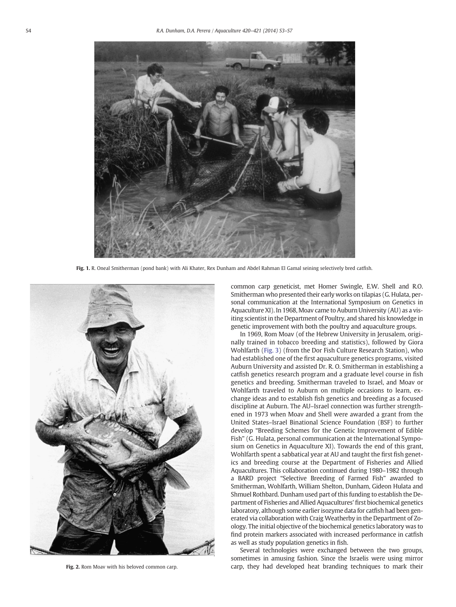<span id="page-1-0"></span>

Fig. 1. R. Oneal Smitherman (pond bank) with Ali Khater, Rex Dunham and Abdel Rahman El Gamal seining selectively bred catfish.



Fig. 2. Rom Moav with his beloved common carp.

common carp geneticist, met Homer Swingle, E.W. Shell and R.O. Smitherman who presented their early works on tilapias (G. Hulata, personal communication at the International Symposium on Genetics in Aquaculture XI). In 1968, Moav came to Auburn University (AU) as a visiting scientist in the Department of Poultry, and shared his knowledge in genetic improvement with both the poultry and aquaculture groups.

In 1969, Rom Moav (of the Hebrew University in Jerusalem, originally trained in tobacco breeding and statistics), followed by Giora Wohlfarth ([Fig. 3](#page-2-0)) (from the Dor Fish Culture Research Station), who had established one of the first aquaculture genetics programs, visited Auburn University and assisted Dr. R. O. Smitherman in establishing a catfish genetics research program and a graduate level course in fish genetics and breeding. Smitherman traveled to Israel, and Moav or Wohlfarth traveled to Auburn on multiple occasions to learn, exchange ideas and to establish fish genetics and breeding as a focused discipline at Auburn. The AU–Israel connection was further strengthened in 1973 when Moav and Shell were awarded a grant from the United States–Israel Binational Science Foundation (BSF) to further develop "Breeding Schemes for the Genetic Improvement of Edible Fish" (G. Hulata, personal communication at the International Symposium on Genetics in Aquaculture XI). Towards the end of this grant, Wohlfarth spent a sabbatical year at AU and taught the first fish genetics and breeding course at the Department of Fisheries and Allied Aquacultures. This collaboration continued during 1980–1982 through a BARD project "Selective Breeding of Farmed Fish" awarded to Smitherman, Wohlfarth, William Shelton, Dunham, Gideon Hulata and Shmuel Rothbard. Dunham used part of this funding to establish the Department of Fisheries and Allied Aquacultures' first biochemical genetics laboratory, although some earlier isozyme data for catfish had been generated via collaboration with Craig Weatherby in the Department of Zoology. The initial objective of the biochemical genetics laboratory was to find protein markers associated with increased performance in catfish as well as study population genetics in fish.

Several technologies were exchanged between the two groups, sometimes in amusing fashion. Since the Israelis were using mirror carp, they had developed heat branding techniques to mark their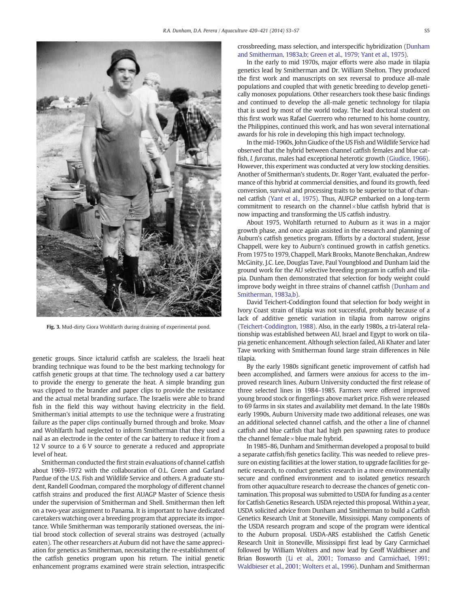<span id="page-2-0"></span>

Fig. 3. Mud-dirty Giora Wohlfarth during draining of experimental pond.

genetic groups. Since ictalurid catfish are scaleless, the Israeli heat branding technique was found to be the best marking technology for catfish genetic groups at that time. The technology used a car battery to provide the energy to generate the heat. A simple branding gun was clipped to the brander and paper clips to provide the resistance and the actual metal branding surface. The Israelis were able to brand fish in the field this way without having electricity in the field. Smitherman's initial attempts to use the technique were a frustrating failure as the paper clips continually burned through and broke. Moav and Wohlfarth had neglected to inform Smitherman that they used a nail as an electrode in the center of the car battery to reduce it from a 12 V source to a 6 V source to generate a reduced and appropriate level of heat.

Smitherman conducted the first strain evaluations of channel catfish about 1969–1972 with the collaboration of O.L. Green and Garland Pardue of the U.S. Fish and Wildlife Service and others. A graduate student, Randell Goodman, compared the morphology of different channel catfish strains and produced the first AUAGP Master of Science thesis under the supervision of Smitherman and Shell. Smitherman then left on a two-year assignment to Panama. It is important to have dedicated caretakers watching over a breeding program that appreciate its importance. While Smitherman was temporarily stationed overseas, the initial brood stock collection of several strains was destroyed (actually eaten). The other researchers at Auburn did not have the same appreciation for genetics as Smitherman, necessitating the re-establishment of the catfish genetics program upon his return. The initial genetic enhancement programs examined were strain selection, intraspecific

crossbreeding, mass selection, and interspecific hybridization [\(Dunham](#page-4-0) [and Smitherman, 1983a,b; Green et al., 1979; Yant et al., 1975](#page-4-0)).

In the early to mid 1970s, major efforts were also made in tilapia genetics lead by Smitherman and Dr. William Shelton. They produced the first work and manuscripts on sex reversal to produce all-male populations and coupled that with genetic breeding to develop genetically monosex populations. Other researchers took these basic findings and continued to develop the all-male genetic technology for tilapia that is used by most of the world today. The lead doctoral student on this first work was Rafael Guerrero who returned to his home country, the Philippines, continued this work, and has won several international awards for his role in developing this high impact technology.

In the mid-1960s, John Giudice of the US Fish and Wildlife Service had observed that the hybrid between channel catfish females and blue catfish, I. furcatus, males had exceptional heterotic growth ([Giudice, 1966](#page-4-0)). However, this experiment was conducted at very low stocking densities. Another of Smitherman's students, Dr. Roger Yant, evaluated the performance of this hybrid at commercial densities, and found its growth, feed conversion, survival and processing traits to be superior to that of channel catfish ([Yant et al., 1975](#page-4-0)). Thus, AUFGP embarked on a long-term commitment to research on the channel $\times$ blue catfish hybrid that is now impacting and transforming the US catfish industry.

About 1975, Wohlfarth returned to Auburn as it was in a major growth phase, and once again assisted in the research and planning of Auburn's catfish genetics program. Efforts by a doctoral student, Jesse Chappell, were key to Auburn's continued growth in catfish genetics. From 1975 to 1979, Chappell, Mark Brooks, Manote Benchakan, Andrew McGinity, J.C. Lee, Douglas Tave, Paul Youngblood and Dunham laid the ground work for the AU selective breeding program in catfish and tilapia. Dunham then demonstrated that selection for body weight could improve body weight in three strains of channel catfish [\(Dunham and](#page-4-0) [Smitherman, 1983a,b](#page-4-0)).

David Teichert-Coddington found that selection for body weight in Ivory Coast strain of tilapia was not successful, probably because of a lack of additive genetic variation in tilapia from narrow origins [\(Teichert-Coddington, 1988](#page-4-0)). Also, in the early 1980s, a tri-lateral relationship was established between AU, Israel and Egypt to work on tilapia genetic enhancement. Although selection failed, Ali Khater and later Tave working with Smitherman found large strain differences in Nile tilapia.

By the early 1980s significant genetic improvement of catfish had been accomplished, and farmers were anxious for access to the improved research lines. Auburn University conducted the first release of three selected lines in 1984–1985. Farmers were offered improved young brood stock or fingerlings above market price. Fish were released to 69 farms in six states and availability met demand. In the late 1980s early 1990s, Auburn University made two additional releases, one was an additional selected channel catfish, and the other a line of channel catfish and blue catfish that had high pen spawning rates to produce the channel female  $\times$  blue male hybrid.

In 1985–86, Dunham and Smitherman developed a proposal to build a separate catfish/fish genetics facility. This was needed to relieve pressure on existing facilities at the lower station, to upgrade facilities for genetic research, to conduct genetics research in a more environmentally secure and confined environment and to isolated genetics research from other aquaculture research to decrease the chances of genetic contamination. This proposal was submitted to USDA for funding as a center for Catfish Genetics Research. USDA rejected this proposal. Within a year, USDA solicited advice from Dunham and Smitherman to build a Catfish Genetics Research Unit at Stoneville, Mississippi. Many components of the USDA research program and scope of the program were identical to the Auburn proposal. USDA-ARS established the Catfish Genetic Research Unit in Stoneville, Mississippi first lead by Gary Carmichael followed by William Wolters and now lead by Geoff Waldbieser and Brian Bosworth ([Li et al., 2001; Tomasso and Carmichael, 1991;](#page-4-0) [Waldbieser et al., 2001; Wolters et al., 1996\)](#page-4-0). Dunham and Smitherman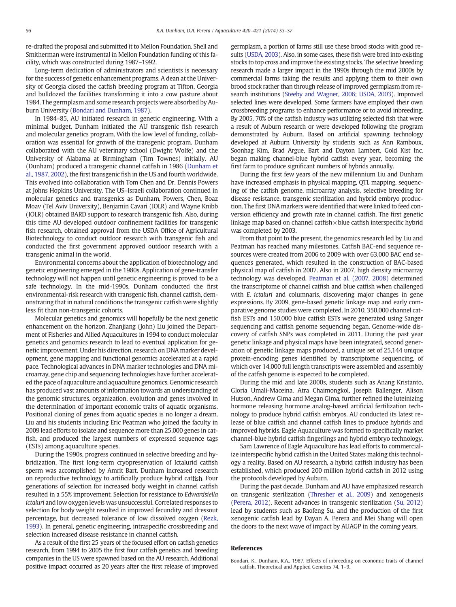re-drafted the proposal and submitted it to Mellon Foundation. Shell and Smitherman were instrumental in Mellon Foundation funding of this facility, which was constructed during 1987–1992.

Long-term dedication of administrators and scientists is necessary for the success of genetic enhancement programs. A dean at the University of Georgia closed the catfish breeding program at Tifton, Georgia and bulldozed the facilities transforming it into a cow pasture about 1984. The germplasm and some research projects were absorbed by Auburn University (Bondari and Dunham, 1987).

In 1984–85, AU initiated research in genetic engineering. With a minimal budget, Dunham initiated the AU transgenic fish research and molecular genetics program. With the low level of funding, collaboration was essential for growth of the transgenic program. Dunham collaborated with the AU veterinary school (Dwight Wolfe) and the University of Alabama at Birmingham (Tim Townes) initially. AU (Dunham) produced a transgenic channel catfish in 1986 ([Dunham et](#page-4-0) [al., 1987, 2002](#page-4-0)), the first transgenic fish in the US and fourth worldwide. This evolved into collaboration with Tom Chen and Dr. Dennis Powers at Johns Hopkins University. The US–Israeli collaboration continued in molecular genetics and transgenics as Dunham, Powers, Chen, Boaz Moav (Tel Aviv University), Benjamin Cavari (IOLR) and Wayne Knibb (IOLR) obtained BARD support to research transgenic fish. Also, during this time AU developed outdoor confinement facilities for transgenic fish research, obtained approval from the USDA Office of Agricultural Biotechnology to conduct outdoor research with transgenic fish and conducted the first government approved outdoor research with a transgenic animal in the world.

Environmental concerns about the application of biotechnology and genetic engineering emerged in the 1980s. Application of gene-transfer technology will not happen until genetic engineering is proved to be a safe technology. In the mid-1990s, Dunham conducted the first environmental-risk research with transgenic fish, channel catfish, demonstrating that in natural conditions the transgenic catfish were slightly less fit than non-transgenic cohorts.

Molecular genetics and genomics will hopefully be the next genetic enhancement on the horizon. Zhanjiang (John) Liu joined the Department of Fisheries and Allied Aquacultures in 1994 to conduct molecular genetics and genomics research to lead to eventual application for genetic improvement. Under his direction, research on DNA marker development, gene mapping and functional genomics accelerated at a rapid pace. Technological advances in DNA marker technologies and DNA microarray, gene chip and sequencing technologies have further accelerated the pace of aquaculture and aquaculture genomics. Genomic research has produced vast amounts of information towards an understanding of the genomic structures, organization, evolution and genes involved in the determination of important economic traits of aquatic organisms. Positional cloning of genes from aquatic species is no longer a dream. Liu and his students including Eric Peatman who joined the faculty in 2009 lead efforts to isolate and sequence more than 25,000 genes in catfish, and produced the largest numbers of expressed sequence tags (ESTs) among aquaculture species.

During the 1990s, progress continued in selective breeding and hybridization. The first long-term cryopreservation of Ictalurid catfish sperm was accomplished by Amrit Bart. Dunham increased research on reproductive technology to artificially produce hybrid catfish. Four generations of selection for increased body weight in channel catfish resulted in a 55% improvement. Selection for resistance to Edwardsiella ictaluri and low oxygen levels was unsuccessful. Correlated responses to selection for body weight resulted in improved fecundity and dressout percentage, but decreased tolerance of low dissolved oxygen [\(Rezk,](#page-4-0) [1993\)](#page-4-0). In general, genetic engineering, intraspecific crossbreeding and selection increased disease resistance in channel catfish.

As a result of the first 25 years of the focused effort on catfish genetics research, from 1994 to 2005 the first four catfish genetics and breeding companies in the US were spawned based on the AU research. Additional positive impact occurred as 20 years after the first release of improved germplasm, a portion of farms still use these brood stocks with good results ([USDA, 2003](#page-4-0)). Also, in some cases, these fish were bred into existing stocks to top cross and improve the existing stocks. The selective breeding research made a larger impact in the 1990s through the mid 2000s by commercial farms taking the results and applying them to their own brood stock rather than through release of improved germplasm from research institutions [\(Steeby and Wagner, 2006; USDA, 2003](#page-4-0)). Improved selected lines were developed. Some farmers have employed their own crossbreeding programs to enhance performance or to avoid inbreeding. By 2005, 70% of the catfish industry was utilizing selected fish that were a result of Auburn research or were developed following the program demonstrated by Auburn. Based on artificial spawning technology developed at Auburn University by students such as Ann Ramboux, Soonhag Kim, Brad Argue, Bart and Dayton Lambert, Gold Kist Inc. began making channel-blue hybrid catfish every year, becoming the first farm to produce significant numbers of hybrids annually.

During the first few years of the new millennium Liu and Dunham have increased emphasis in physical mapping, QTL mapping, sequencing of the catfish genome, microarray analysis, selective breeding for disease resistance, transgenic sterilization and hybrid embryo production. The first DNA markers were identified that were linked to feed conversion efficiency and growth rate in channel catfish. The first genetic linkage map based on channel catfish  $\times$  blue catfish interspecific hybrid was completed by 2003.

From that point to the present, the genomics research led by Liu and Peatman has reached many milestones. Catfish BAC-end sequence resources were created from 2006 to 2009 with over 63,000 BAC end sequences generated, which resulted in the construction of BAC-based physical map of catfish in 2007. Also in 2007, high density microarray technology was developed. [Peatman et al. \(2007, 2008\)](#page-4-0) determined the transcriptome of channel catfish and blue catfish when challenged with *E. ictaluri* and columnaris, discovering major changes in gene expressions. By 2009, gene-based genetic linkage map and early comparative genome studies were completed. In 2010, 350,000 channel catfish ESTs and 150,000 blue catfish ESTs were generated using Sanger sequencing and catfish genome sequencing began. Genome-wide discovery of catfish SNPs was completed in 2011. During the past year genetic linkage and physical maps have been integrated, second generation of genetic linkage maps produced, a unique set of 25,144 unique protein-encoding genes identified by transcriptome sequencing, of which over 14,000 full length transcripts were assembled and assembly of the catfish genome is expected to be completed.

During the mid and late 2000s, students such as Anang Kristanto, Gloria Umali-Maceina, Atra Chaimongkol, Joseph Ballenger, Alison Hutson, Andrew Gima and Megan Gima, further refined the luteinizing hormone releasing hormone analog-based artificial fertilization technology to produce hybrid catfish embryos. AU conducted its latest release of blue catfish and channel catfish lines to produce hybrids and improved hybrids. Eagle Aquaculture was formed to specifically market channel-blue hybrid catfish fingerlings and hybrid embryo technology.

Sam Lawrence of Eagle Aquaculture has lead efforts to commercialize interspecific hybrid catfish in the United States making this technology a reality. Based on AU research, a hybrid catfish industry has been established, which produced 200 million hybrid catfish in 2012 using the protocols developed by Auburn.

During the past decade, Dunham and AU have emphasized research on transgenic sterilization ([Thresher et al., 2009](#page-4-0)) and xenogenesis [\(Perera, 2012](#page-4-0)). Recent advances in transgenic sterilization [\(Su, 2012](#page-4-0)) lead by students such as Baofeng Su, and the production of the first xenogenic catfish lead by Dayan A. Perera and Mei Shang will open the doors to the next wave of impact by AUAGP in the coming years.

Bondari, K., Dunham, R.A., 1987. Effects of inbreeding on economic traits of channel catfish. Theoretical and Applied Genetics 74, 1–9.